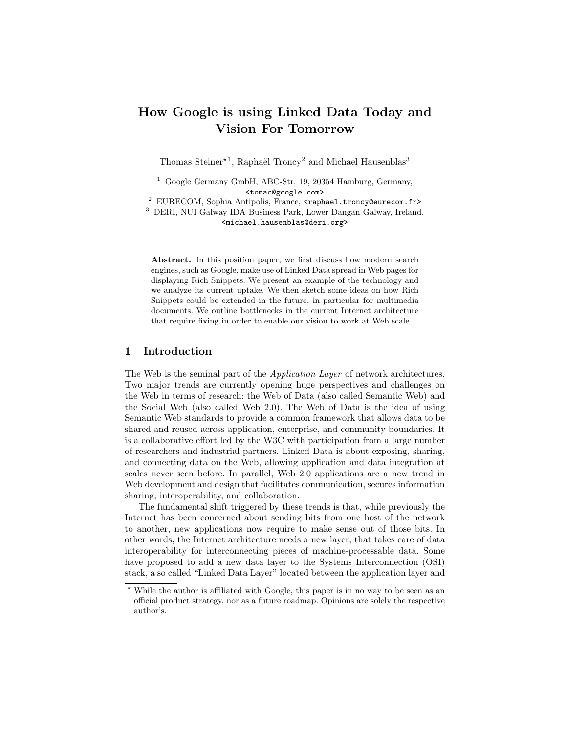# How Google is using Linked Data Today and Vision For Tomorrow

Thomas Steiner<sup>\*1</sup>, Raphaël Troncy<sup>2</sup> and Michael Hausenblas<sup>3</sup>

<sup>1</sup> Google Germany GmbH, ABC-Str. 19, 20354 Hamburg, Germany, <tomac@google.com>

<sup>2</sup> EURECOM, Sophia Antipolis, France, <raphael.troncy@eurecom.fr>

<sup>3</sup> DERI, NUI Galway IDA Business Park, Lower Dangan Galway, Ireland, <michael.hausenblas@deri.org>

Abstract. In this position paper, we first discuss how modern search engines, such as Google, make use of Linked Data spread in Web pages for displaying Rich Snippets. We present an example of the technology and we analyze its current uptake. We then sketch some ideas on how Rich Snippets could be extended in the future, in particular for multimedia documents. We outline bottlenecks in the current Internet architecture that require fixing in order to enable our vision to work at Web scale.

# 1 Introduction

The Web is the seminal part of the *Application Layer* of network architectures. Two major trends are currently opening huge perspectives and challenges on the Web in terms of research: the Web of Data (also called Semantic Web) and the Social Web (also called Web 2.0). The Web of Data is the idea of using Semantic Web standards to provide a common framework that allows data to be shared and reused across application, enterprise, and community boundaries. It is a collaborative effort led by the W3C with participation from a large number of researchers and industrial partners. Linked Data is about exposing, sharing, and connecting data on the Web, allowing application and data integration at scales never seen before. In parallel, Web 2.0 applications are a new trend in Web development and design that facilitates communication, secures information sharing, interoperability, and collaboration.

The fundamental shift triggered by these trends is that, while previously the Internet has been concerned about sending bits from one host of the network to another, new applications now require to make sense out of those bits. In other words, the Internet architecture needs a new layer, that takes care of data interoperability for interconnecting pieces of machine-processable data. Some have proposed to add a new data layer to the Systems Interconnection (OSI) stack, a so called "Linked Data Layer" located between the application layer and

While the author is affiliated with Google, this paper is in no way to be seen as an official product strategy, nor as a future roadmap. Opinions are solely the respective author's.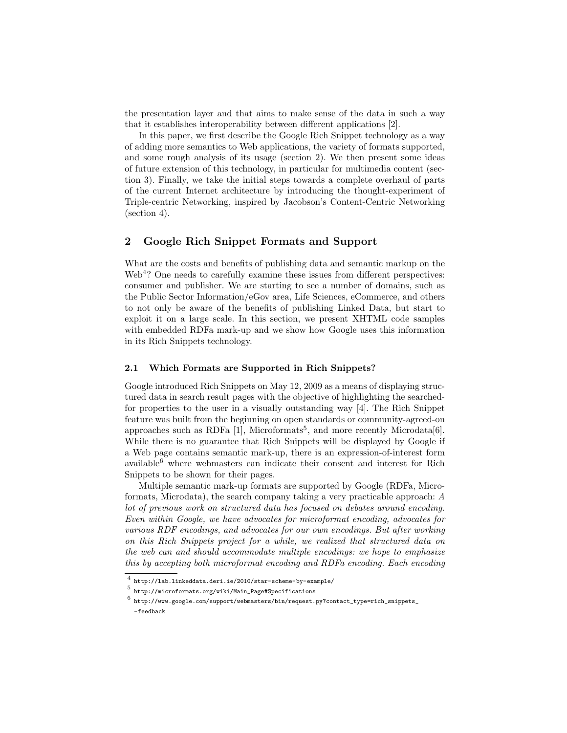the presentation layer and that aims to make sense of the data in such a way that it establishes interoperability between different applications [2].

In this paper, we first describe the Google Rich Snippet technology as a way of adding more semantics to Web applications, the variety of formats supported, and some rough analysis of its usage (section 2). We then present some ideas of future extension of this technology, in particular for multimedia content (section 3). Finally, we take the initial steps towards a complete overhaul of parts of the current Internet architecture by introducing the thought-experiment of Triple-centric Networking, inspired by Jacobson's Content-Centric Networking (section 4).

# 2 Google Rich Snippet Formats and Support

What are the costs and benefits of publishing data and semantic markup on the Web<sup>4</sup>? One needs to carefully examine these issues from different perspectives: consumer and publisher. We are starting to see a number of domains, such as the Public Sector Information/eGov area, Life Sciences, eCommerce, and others to not only be aware of the benefits of publishing Linked Data, but start to exploit it on a large scale. In this section, we present XHTML code samples with embedded RDFa mark-up and we show how Google uses this information in its Rich Snippets technology.

#### 2.1 Which Formats are Supported in Rich Snippets?

Google introduced Rich Snippets on May 12, 2009 as a means of displaying structured data in search result pages with the objective of highlighting the searchedfor properties to the user in a visually outstanding way [4]. The Rich Snippet feature was built from the beginning on open standards or community-agreed-on approaches such as RDFa  $[1]$ , Microformats<sup>5</sup>, and more recently Microdata $[6]$ . While there is no guarantee that Rich Snippets will be displayed by Google if a Web page contains semantic mark-up, there is an expression-of-interest form available<sup>6</sup> where webmasters can indicate their consent and interest for Rich Snippets to be shown for their pages.

Multiple semantic mark-up formats are supported by Google (RDFa, Microformats, Microdata), the search company taking a very practicable approach: A lot of previous work on structured data has focused on debates around encoding. Even within Google, we have advocates for microformat encoding, advocates for various RDF encodings, and advocates for our own encodings. But after working on this Rich Snippets project for a while, we realized that structured data on the web can and should accommodate multiple encodings: we hope to emphasize this by accepting both microformat encoding and RDFa encoding. Each encoding

<sup>4</sup> http://lab.linkeddata.deri.ie/2010/star-scheme-by-example/

<sup>5</sup> http://microformats.org/wiki/Main\_Page#Specifications

 $^6$  http://www.google.com/support/webmasters/bin/request.py?contact\_type=rich\_snippets\_ -feedback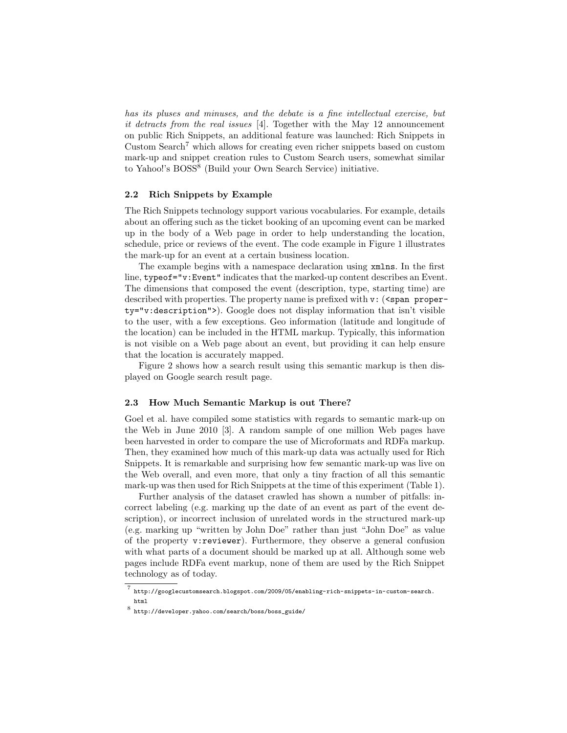has its pluses and minuses, and the debate is a fine intellectual exercise, but it detracts from the real issues [4]. Together with the May 12 announcement on public Rich Snippets, an additional feature was launched: Rich Snippets in Custom Search<sup>7</sup> which allows for creating even richer snippets based on custom mark-up and snippet creation rules to Custom Search users, somewhat similar to Yahoo!'s BOSS<sup>8</sup> (Build your Own Search Service) initiative.

#### 2.2 Rich Snippets by Example

The Rich Snippets technology support various vocabularies. For example, details about an offering such as the ticket booking of an upcoming event can be marked up in the body of a Web page in order to help understanding the location, schedule, price or reviews of the event. The code example in Figure 1 illustrates the mark-up for an event at a certain business location.

The example begins with a namespace declaration using xmlns. In the first line, typeof="v:Event" indicates that the marked-up content describes an Event. The dimensions that composed the event (description, type, starting time) are described with properties. The property name is prefixed with  $v:$  (<span property="v:description">). Google does not display information that isn't visible to the user, with a few exceptions. Geo information (latitude and longitude of the location) can be included in the HTML markup. Typically, this information is not visible on a Web page about an event, but providing it can help ensure that the location is accurately mapped.

Figure 2 shows how a search result using this semantic markup is then displayed on Google search result page.

#### 2.3 How Much Semantic Markup is out There?

Goel et al. have compiled some statistics with regards to semantic mark-up on the Web in June 2010 [3]. A random sample of one million Web pages have been harvested in order to compare the use of Microformats and RDFa markup. Then, they examined how much of this mark-up data was actually used for Rich Snippets. It is remarkable and surprising how few semantic mark-up was live on the Web overall, and even more, that only a tiny fraction of all this semantic mark-up was then used for Rich Snippets at the time of this experiment (Table 1).

Further analysis of the dataset crawled has shown a number of pitfalls: incorrect labeling (e.g. marking up the date of an event as part of the event description), or incorrect inclusion of unrelated words in the structured mark-up (e.g. marking up "written by John Doe" rather than just "John Doe" as value of the property v:reviewer). Furthermore, they observe a general confusion with what parts of a document should be marked up at all. Although some web pages include RDFa event markup, none of them are used by the Rich Snippet technology as of today.

<sup>7</sup> http://googlecustomsearch.blogspot.com/2009/05/enabling-rich-snippets-in-custom-search. html

 $^8$  http://developer.yahoo.com/search/boss/boss\_guide/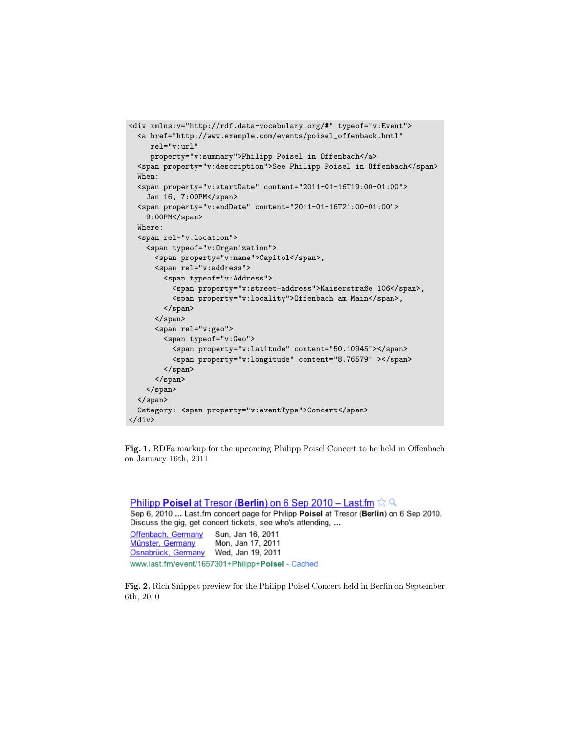```
<div xmlns:v="http://rdf.data-vocabulary.org/#" typeof="v:Event">
 <a href="http://www.example.com/events/poisel_offenback.hmtl"
    rel="v:url"
    property="v:summary">Philipp Poisel in Offenbach</a>
 <span property="v:description">See Philipp Poisel in Offenbach</span>
 When:
 <span property="v:startDate" content="2011-01-16T19:00-01:00">
   Jan 16, 7:00PM</span>
  <span property="v:endDate" content="2011-01-16T21:00-01:00">
   9:00PM</span>
 Where:
 <span rel="v:location">
   <span typeof="v:Organization">
      <span property="v:name">Capitol</span>,
      <span rel="v:address">
       <span typeof="v:Address">
          <span property="v:street-address">Kaiserstraße 106</span>,
          <span property="v:locality">Offenbach am Main</span>,
        </span>
      </span>
      <span rel="v:geo">
       <span typeof="v:Geo">
          <span property="v:latitude" content="50.10945"></span>
          <span property="v:longitude" content="8.76579" ></span>
       </span>
      </span>
   </span>
  </span>
 Category: <span property="v:eventType">Concert</span>
</div>
```
Fig. 1. RDFa markup for the upcoming Philipp Poisel Concert to be held in Offenbach on January 16th, 2011

**Philipp Poisel at Tresor (Berlin) on 6 Sep 2010 – Last.fm**  $\approx$  Q Sep 6, 2010 ... Last.fm concert page for Philipp Poisel at Tresor (Berlin) on 6 Sep 2010. Discuss the gig, get concert tickets, see who's attending, ... Sun, Jan 16, 2011 Offenbach, Germany Mon, Jan 17, 2011 Münster, Germany Osnabrück, Germany Wed, Jan 19, 2011 www.last.fm/event/1657301+Philipp+Poisel - Cached

Fig. 2. Rich Snippet preview for the Philipp Poisel Concert held in Berlin on September 6th, 2010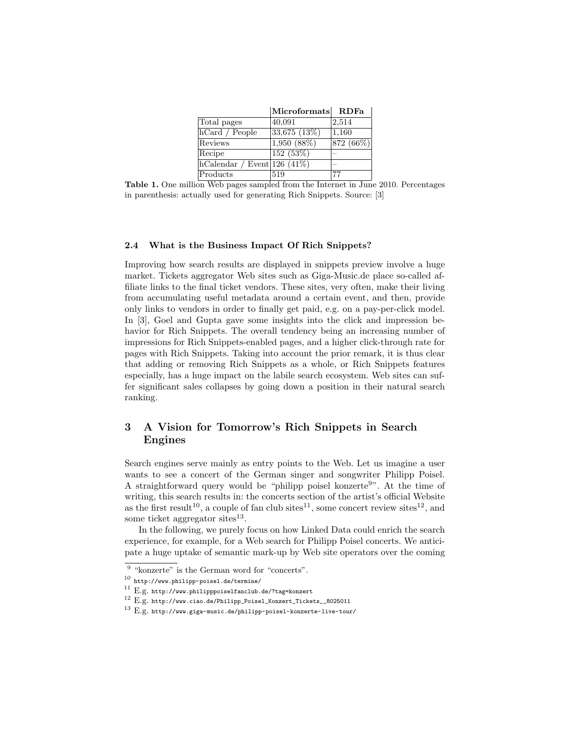|                                           | Microformats RDFa |          |
|-------------------------------------------|-------------------|----------|
| Total pages                               | 40,091            | 2,514    |
| hCard / People                            | 33,675(13%)       | 1,160    |
| Reviews                                   | 1,950(88%)        | 872(66%) |
| Recipe                                    | 152 (53%)         |          |
| $ h$ Calendar / Event $ 126\rangle$ (41%) |                   |          |
| Products                                  | 519               | 77       |

Table 1. One million Web pages sampled from the Internet in June 2010. Percentages in parenthesis: actually used for generating Rich Snippets. Source: [3]

#### 2.4 What is the Business Impact Of Rich Snippets?

Improving how search results are displayed in snippets preview involve a huge market. Tickets aggregator Web sites such as Giga-Music.de place so-called affiliate links to the final ticket vendors. These sites, very often, make their living from accumulating useful metadata around a certain event, and then, provide only links to vendors in order to finally get paid, e.g. on a pay-per-click model. In [3], Goel and Gupta gave some insights into the click and impression behavior for Rich Snippets. The overall tendency being an increasing number of impressions for Rich Snippets-enabled pages, and a higher click-through rate for pages with Rich Snippets. Taking into account the prior remark, it is thus clear that adding or removing Rich Snippets as a whole, or Rich Snippets features especially, has a huge impact on the labile search ecosystem. Web sites can suffer significant sales collapses by going down a position in their natural search ranking.

# 3 A Vision for Tomorrow's Rich Snippets in Search Engines

Search engines serve mainly as entry points to the Web. Let us imagine a user wants to see a concert of the German singer and songwriter Philipp Poisel. A straightforward query would be "philipp poisel konzerte<sup>9</sup>". At the time of writing, this search results in: the concerts section of the artist's official Website as the first result<sup>10</sup>, a couple of fan club sites<sup>11</sup>, some concert review sites<sup>12</sup>, and some ticket aggregator sites $^{13}$ .

In the following, we purely focus on how Linked Data could enrich the search experience, for example, for a Web search for Philipp Poisel concerts. We anticipate a huge uptake of semantic mark-up by Web site operators over the coming

<sup>&</sup>lt;sup>9</sup> "konzerte" is the German word for "concerts".

 $^{10}$  http://www.philipp-poisel.de/termine/

 $^{11}$  E.g. http://www.philipppoiselfanclub.de/?tag=konzert

<sup>12</sup> E.g. http://www.ciao.de/Philipp\_Poisel\_Konzert\_Tickets\_\_8025011

 $^{13}$  E.g. http://www.giga-music.de/philipp-poisel-konzerte-live-tour/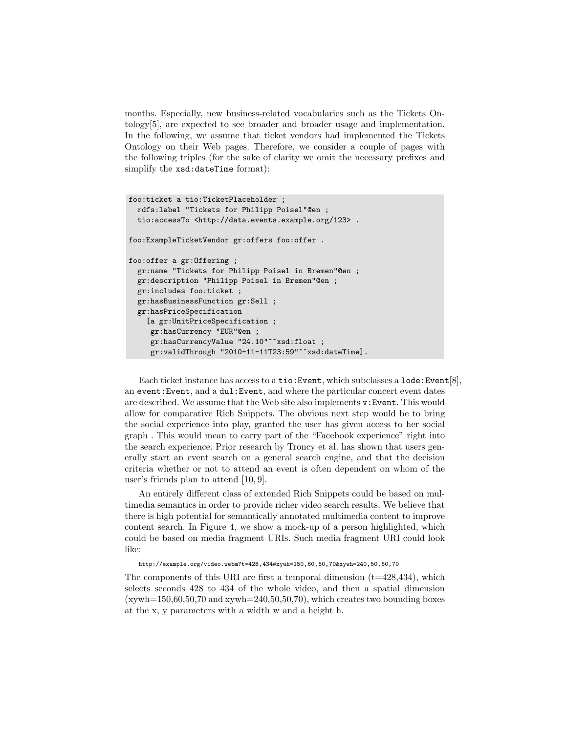months. Especially, new business-related vocabularies such as the Tickets Ontology[5], are expected to see broader and broader usage and implementation. In the following, we assume that ticket vendors had implemented the Tickets Ontology on their Web pages. Therefore, we consider a couple of pages with the following triples (for the sake of clarity we omit the necessary prefixes and simplify the xsd:dateTime format):

```
foo:ticket a tio:TicketPlaceholder ;
 rdfs:label "Tickets for Philipp Poisel"@en ;
 tio:accessTo <http://data.events.example.org/123>.
foo:ExampleTicketVendor gr:offers foo:offer .
foo:offer a gr:Offering ;
  gr:name "Tickets for Philipp Poisel in Bremen"@en ;
 gr:description "Philipp Poisel in Bremen"@en ;
 gr:includes foo:ticket ;
 gr:hasBusinessFunction gr:Sell ;
 gr:hasPriceSpecification
    [a gr:UnitPriceSpecification ;
     gr:hasCurrency "EUR"@en ;
     gr:hasCurrencyValue "24.10"^^xsd:float ;
     gr:validThrough "2010-11-11T23:59"^^xsd:dateTime].
```
Each ticket instance has access to a tio:Event, which subclasses a lode:Event[8], an event:Event, and a dul:Event, and where the particular concert event dates are described. We assume that the Web site also implements v:Event. This would allow for comparative Rich Snippets. The obvious next step would be to bring the social experience into play, granted the user has given access to her social graph . This would mean to carry part of the "Facebook experience" right into the search experience. Prior research by Troncy et al. has shown that users generally start an event search on a general search engine, and that the decision criteria whether or not to attend an event is often dependent on whom of the user's friends plan to attend [10, 9].

An entirely different class of extended Rich Snippets could be based on multimedia semantics in order to provide richer video search results. We believe that there is high potential for semantically annotated multimedia content to improve content search. In Figure 4, we show a mock-up of a person highlighted, which could be based on media fragment URIs. Such media fragment URI could look like:

http://example.org/video.webm?t=428,434#xywh=150,60,50,70&xywh=240,50,50,70

The components of this URI are first a temporal dimension  $(t=428,434)$ , which selects seconds 428 to 434 of the whole video, and then a spatial dimension  $(xywh=150,60,50,70$  and  $xywh=240,50,50,70)$ , which creates two bounding boxes at the x, y parameters with a width w and a height h.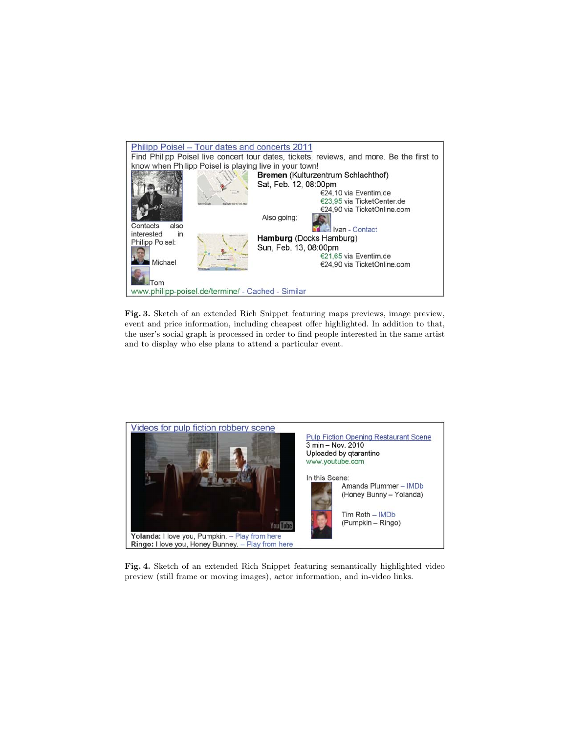

Fig. 3. Sketch of an extended Rich Snippet featuring maps previews, image preview, event and price information, including cheapest offer highlighted. In addition to that, the user's social graph is processed in order to find people interested in the same artist and to display who else plans to attend a particular event.



Fig. 4. Sketch of an extended Rich Snippet featuring semantically highlighted video preview (still frame or moving images), actor information, and in-video links.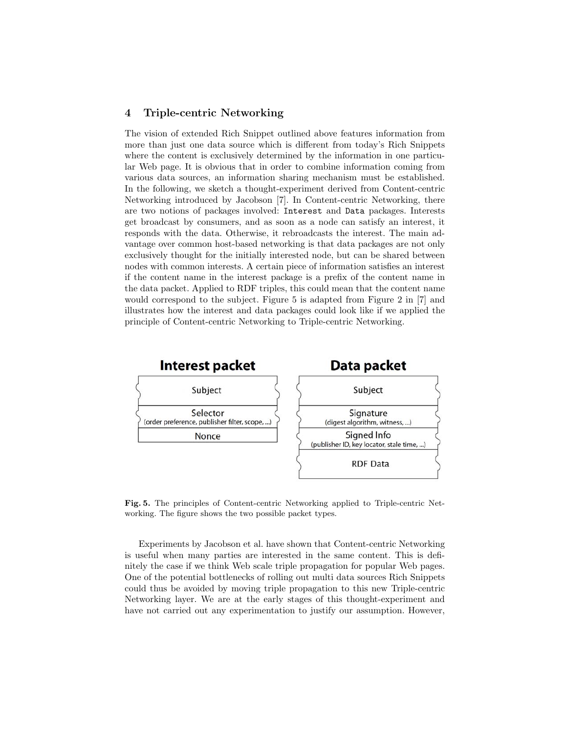## 4 Triple-centric Networking

The vision of extended Rich Snippet outlined above features information from more than just one data source which is different from today's Rich Snippets where the content is exclusively determined by the information in one particular Web page. It is obvious that in order to combine information coming from various data sources, an information sharing mechanism must be established. In the following, we sketch a thought-experiment derived from Content-centric Networking introduced by Jacobson [7]. In Content-centric Networking, there are two notions of packages involved: Interest and Data packages. Interests get broadcast by consumers, and as soon as a node can satisfy an interest, it responds with the data. Otherwise, it rebroadcasts the interest. The main advantage over common host-based networking is that data packages are not only exclusively thought for the initially interested node, but can be shared between nodes with common interests. A certain piece of information satisfies an interest if the content name in the interest package is a prefix of the content name in the data packet. Applied to RDF triples, this could mean that the content name would correspond to the subject. Figure 5 is adapted from Figure 2 in [7] and illustrates how the interest and data packages could look like if we applied the principle of Content-centric Networking to Triple-centric Networking.



Fig. 5. The principles of Content-centric Networking applied to Triple-centric Networking. The figure shows the two possible packet types.

Experiments by Jacobson et al. have shown that Content-centric Networking is useful when many parties are interested in the same content. This is definitely the case if we think Web scale triple propagation for popular Web pages. One of the potential bottlenecks of rolling out multi data sources Rich Snippets could thus be avoided by moving triple propagation to this new Triple-centric Networking layer. We are at the early stages of this thought-experiment and have not carried out any experimentation to justify our assumption. However,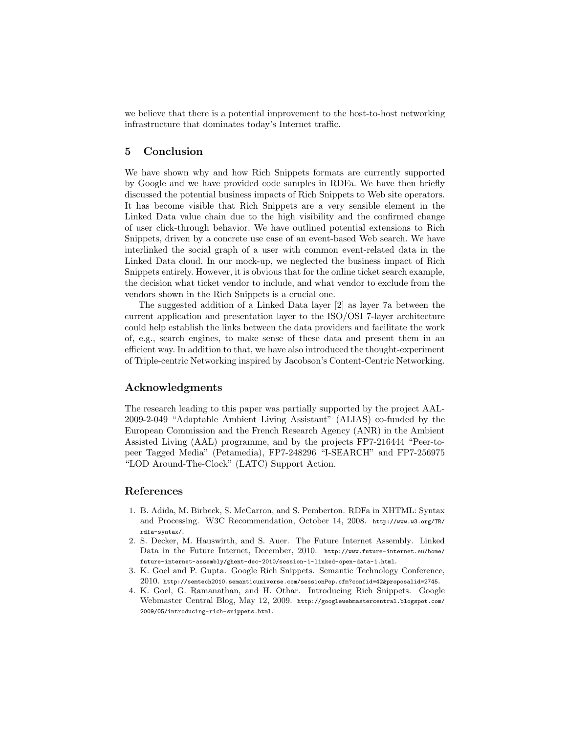we believe that there is a potential improvement to the host-to-host networking infrastructure that dominates today's Internet traffic.

# 5 Conclusion

We have shown why and how Rich Snippets formats are currently supported by Google and we have provided code samples in RDFa. We have then briefly discussed the potential business impacts of Rich Snippets to Web site operators. It has become visible that Rich Snippets are a very sensible element in the Linked Data value chain due to the high visibility and the confirmed change of user click-through behavior. We have outlined potential extensions to Rich Snippets, driven by a concrete use case of an event-based Web search. We have interlinked the social graph of a user with common event-related data in the Linked Data cloud. In our mock-up, we neglected the business impact of Rich Snippets entirely. However, it is obvious that for the online ticket search example, the decision what ticket vendor to include, and what vendor to exclude from the vendors shown in the Rich Snippets is a crucial one.

The suggested addition of a Linked Data layer [2] as layer 7a between the current application and presentation layer to the ISO/OSI 7-layer architecture could help establish the links between the data providers and facilitate the work of, e.g., search engines, to make sense of these data and present them in an efficient way. In addition to that, we have also introduced the thought-experiment of Triple-centric Networking inspired by Jacobson's Content-Centric Networking.

# Acknowledgments

The research leading to this paper was partially supported by the project AAL-2009-2-049 "Adaptable Ambient Living Assistant" (ALIAS) co-funded by the European Commission and the French Research Agency (ANR) in the Ambient Assisted Living (AAL) programme, and by the projects FP7-216444 "Peer-topeer Tagged Media" (Petamedia), FP7-248296 "I-SEARCH" and FP7-256975 "LOD Around-The-Clock" (LATC) Support Action.

## References

- 1. B. Adida, M. Birbeck, S. McCarron, and S. Pemberton. RDFa in XHTML: Syntax and Processing. W3C Recommendation, October 14, 2008. http://www.w3.org/TR/ rdfa-syntax/.
- 2. S. Decker, M. Hauswirth, and S. Auer. The Future Internet Assembly. Linked Data in the Future Internet, December, 2010. http://www.future-internet.eu/home/ future-internet-assembly/ghent-dec-2010/session-i-linked-open-data-i.html.
- 3. K. Goel and P. Gupta. Google Rich Snippets. Semantic Technology Conference, 2010. http://semtech2010.semanticuniverse.com/sessionPop.cfm?confid=42&proposalid=2745.
- 4. K. Goel, G. Ramanathan, and H. Othar. Introducing Rich Snippets. Google Webmaster Central Blog, May 12, 2009. http://googlewebmastercentral.blogspot.com/ 2009/05/introducing-rich-snippets.html.